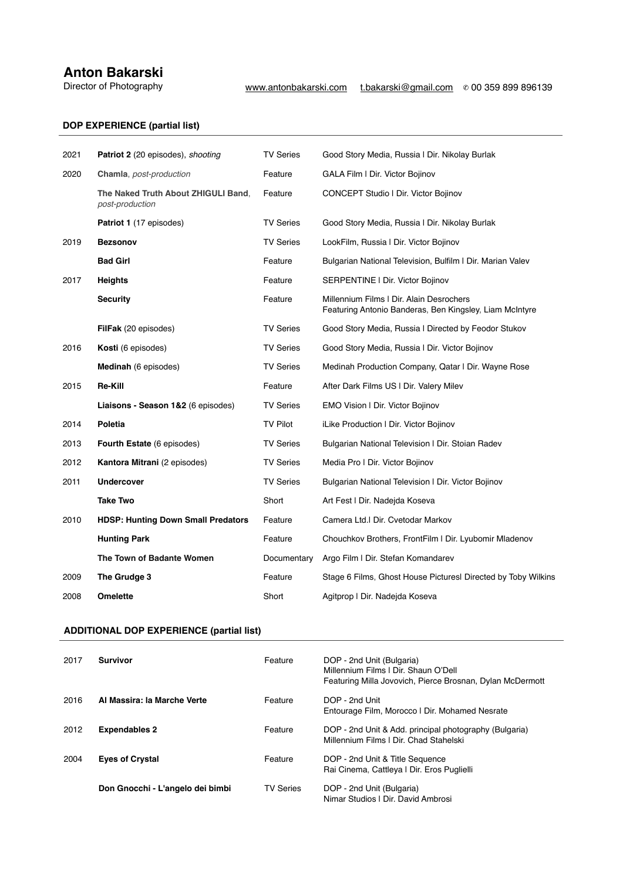## **Anton Bakarski**<br>Director of Photography

## **DOP EXPERIENCE (partial list)**

| 2021 | <b>Patriot 2</b> (20 episodes), shooting               | <b>TV Series</b> | Good Story Media, Russia   Dir. Nikolay Burlak                                                      |
|------|--------------------------------------------------------|------------------|-----------------------------------------------------------------------------------------------------|
| 2020 | Chamla, post-production                                | Feature          | GALA Film I Dir. Victor Bojinov                                                                     |
|      | The Naked Truth About ZHIGULI Band,<br>post-production | Feature          | <b>CONCEPT Studio   Dir. Victor Bojinov</b>                                                         |
|      | Patriot 1 (17 episodes)                                | <b>TV Series</b> | Good Story Media, Russia   Dir. Nikolay Burlak                                                      |
| 2019 | <b>Bezsonov</b>                                        | <b>TV Series</b> | LookFilm, Russia I Dir. Victor Bojinov                                                              |
|      | <b>Bad Girl</b>                                        | Feature          | Bulgarian National Television, Bulfilm I Dir. Marian Valev                                          |
| 2017 | <b>Heights</b>                                         | Feature          | SERPENTINE   Dir. Victor Bojinov                                                                    |
|      | <b>Security</b>                                        | Feature          | Millennium Films I Dir. Alain Desrochers<br>Featuring Antonio Banderas, Ben Kingsley, Liam McIntyre |
|      | FilFak (20 episodes)                                   | <b>TV Series</b> | Good Story Media, Russia I Directed by Feodor Stukov                                                |
| 2016 | Kosti (6 episodes)                                     | <b>TV Series</b> | Good Story Media, Russia   Dir. Victor Bojinov                                                      |
|      | Medinah (6 episodes)                                   | <b>TV Series</b> | Medinah Production Company, Qatar I Dir. Wayne Rose                                                 |
| 2015 | <b>Re-Kill</b>                                         | Feature          | After Dark Films US I Dir. Valery Milev                                                             |
|      | Liaisons - Season 1&2 (6 episodes)                     | <b>TV Series</b> | EMO Vision   Dir. Victor Bojinov                                                                    |
| 2014 | Poletia                                                | <b>TV Pilot</b>  | iLike Production I Dir. Victor Bojinov                                                              |
| 2013 | <b>Fourth Estate</b> (6 episodes)                      | <b>TV Series</b> | Bulgarian National Television   Dir. Stoian Radev                                                   |
| 2012 | Kantora Mitrani (2 episodes)                           | <b>TV Series</b> | Media Pro I Dir. Victor Bojinov                                                                     |
| 2011 | <b>Undercover</b>                                      | <b>TV Series</b> | Bulgarian National Television   Dir. Victor Bojinov                                                 |
|      | <b>Take Two</b>                                        | Short            | Art Fest I Dir. Nadejda Koseva                                                                      |
| 2010 | <b>HDSP: Hunting Down Small Predators</b>              | Feature          | Camera Ltd.I Dir. Cvetodar Markov                                                                   |
|      | <b>Hunting Park</b>                                    | Feature          | Chouchkov Brothers, FrontFilm   Dir. Lyubomir Mladenov                                              |
|      | The Town of Badante Women                              | Documentary      | Argo Film I Dir. Stefan Komandarev                                                                  |
| 2009 | The Grudge 3                                           | Feature          | Stage 6 Films, Ghost House Pictures Directed by Toby Wilkins                                        |
| 2008 | <b>Omelette</b>                                        | Short            | Agitprop I Dir. Nadejda Koseva                                                                      |

## 2004 **Svetlana's Journey** Short TopForm Studio | Dir. Michael Cory Davis **ADDITIONAL DOP EXPERIENCE (partial list)**

| 2017 | <b>Survivor</b>                  | Feature          | DOP - 2nd Unit (Bulgaria)<br>Millennium Films I Dir. Shaun O'Dell<br>Featuring Milla Jovovich, Pierce Brosnan, Dylan McDermott |
|------|----------------------------------|------------------|--------------------------------------------------------------------------------------------------------------------------------|
| 2016 | Al Massira: la Marche Verte      | Feature          | DOP - 2nd Unit<br>Entourage Film, Morocco I Dir. Mohamed Nesrate                                                               |
| 2012 | <b>Expendables 2</b>             | Feature          | DOP - 2nd Unit & Add. principal photography (Bulgaria)<br>Millennium Films I Dir. Chad Stahelski                               |
| 2004 | <b>Eyes of Crystal</b>           | Feature          | DOP - 2nd Unit & Title Sequence<br>Rai Cinema, Cattleya   Dir. Eros Puglielli                                                  |
|      | Don Gnocchi - L'angelo dei bimbi | <b>TV Series</b> | DOP - 2nd Unit (Bulgaria)<br>Nimar Studios   Dir. David Ambrosi                                                                |